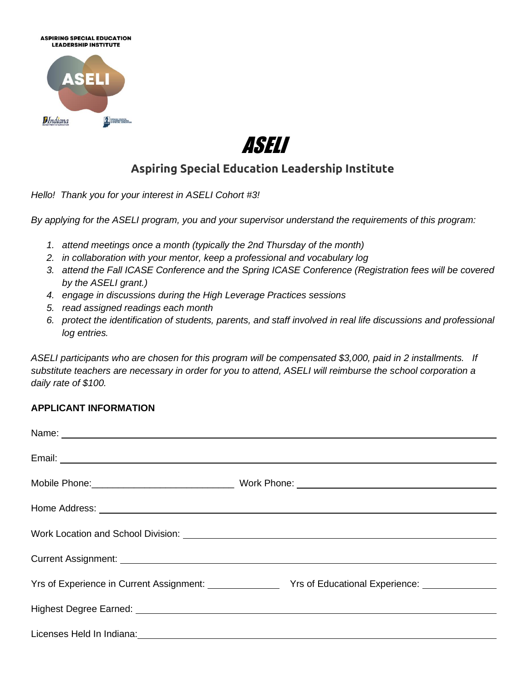



## **Aspiring Special Education Leadership Institute**

*Hello! Thank you for your interest in ASELI Cohort #3!* 

*By applying for the ASELI program, you and your supervisor understand the requirements of this program:*

- *1. attend meetings once a month (typically the 2nd Thursday of the month)*
- *2. in collaboration with your mentor, keep a professional and vocabulary log*
- *3. attend the Fall ICASE Conference and the Spring ICASE Conference (Registration fees will be covered by the ASELI grant.)*
- *4. engage in discussions during the High Leverage Practices sessions*
- *5. read assigned readings each month*
- *6. protect the identification of students, parents, and staff involved in real life discussions and professional log entries.*

*ASELI participants who are chosen for this program will be compensated \$3,000, paid in 2 installments. If substitute teachers are necessary in order for you to attend, ASELI will reimburse the school corporation a daily rate of \$100.*

## **APPLICANT INFORMATION**

| Home Address: New York Changes and Changes and Changes and Changes and Changes and Changes and Changes and Changes and Changes and Changes and Changes and Changes and Changes and Changes and Changes and Changes and Changes       |                                                                                                                 |
|--------------------------------------------------------------------------------------------------------------------------------------------------------------------------------------------------------------------------------------|-----------------------------------------------------------------------------------------------------------------|
|                                                                                                                                                                                                                                      |                                                                                                                 |
|                                                                                                                                                                                                                                      |                                                                                                                 |
|                                                                                                                                                                                                                                      | Yrs of Experience in Current Assignment: Yrs of Educational Experience: Vistam Controller Management Controller |
|                                                                                                                                                                                                                                      |                                                                                                                 |
| Licenses Held In Indiana: <u>contract and a series of the series of the series of the series of the series of the series of the series of the series of the series of the series of the series of the series of the series of th</u> |                                                                                                                 |